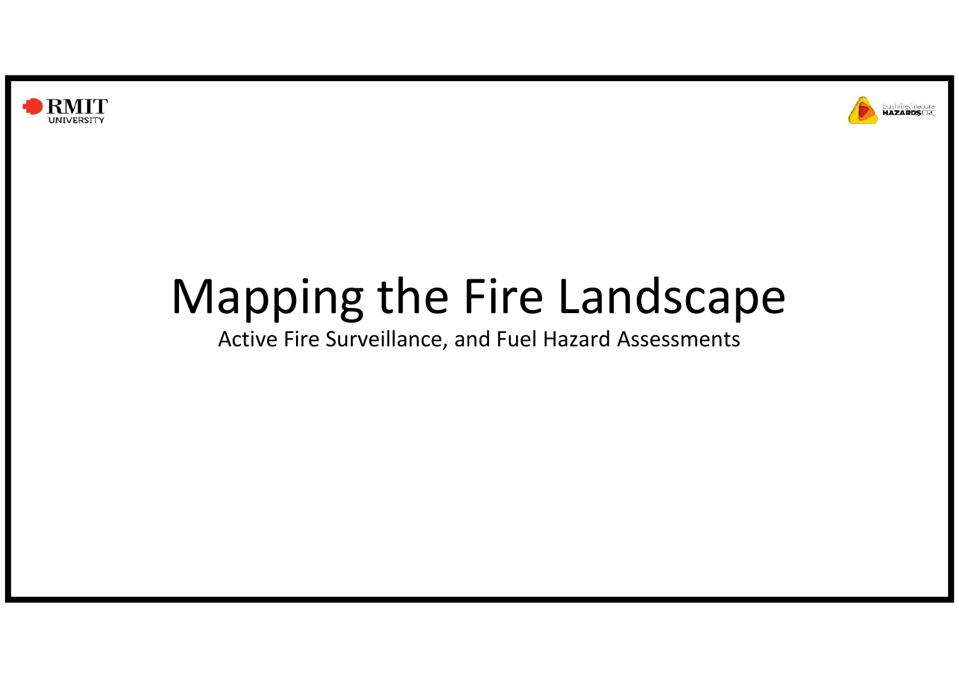



# Mapping the Fire Landscape

Active Fire Surveillance, and Fuel Hazard Assessments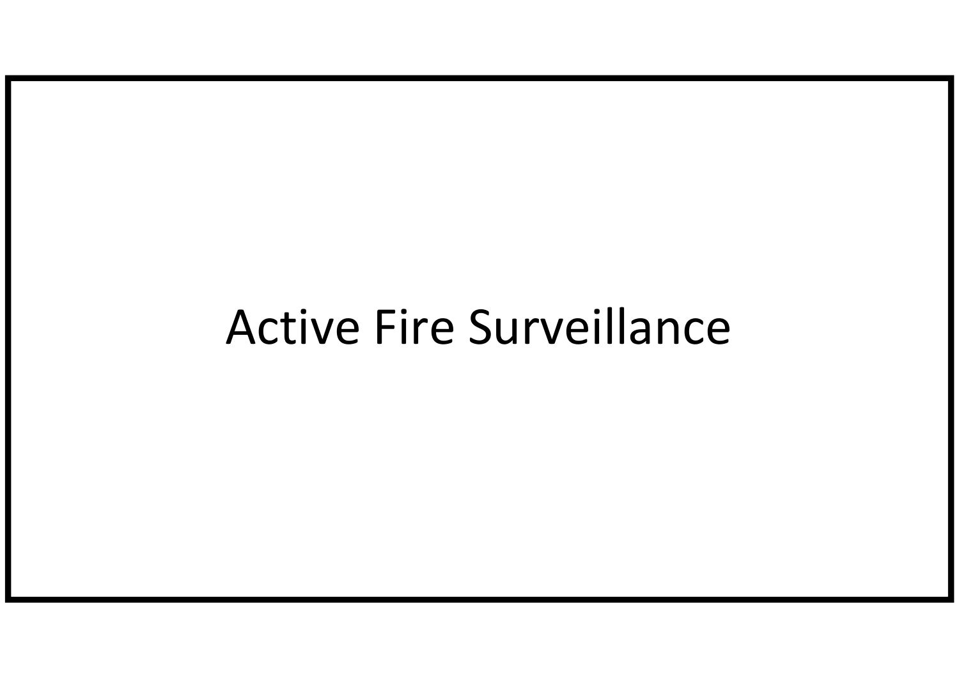## Active Fire Surveillance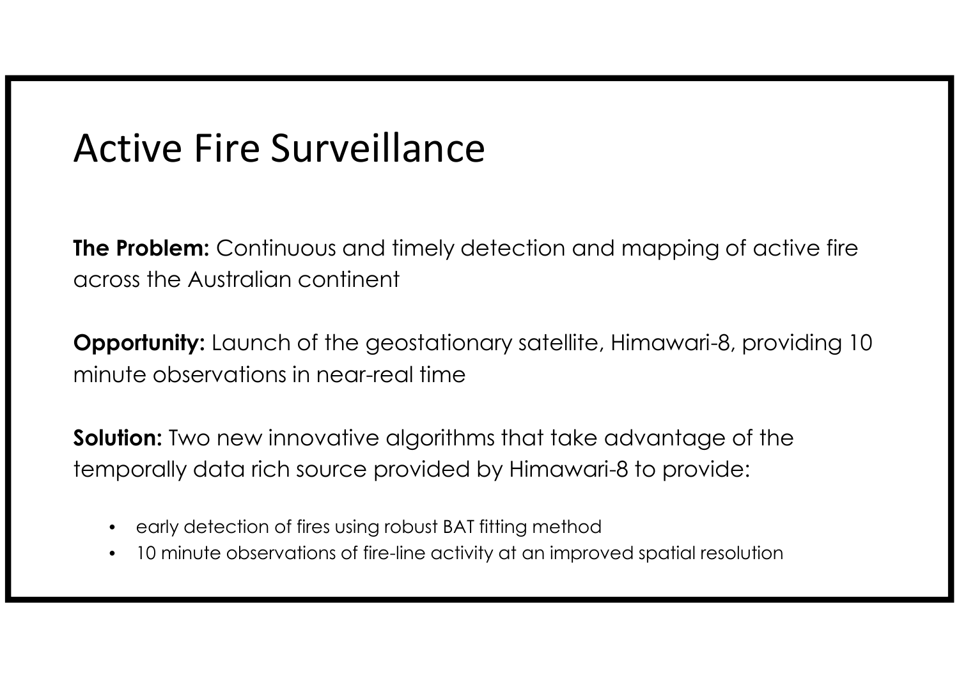## Active Fire Surveillance

**The Problem:** Continuous and timely detection and mapping of active fire across the Australian continent

**Opportunity:** Launch of the geostationary satellite, Himawari-8, providing 10 minute observations in near-real time

**Solution:** Two new innovative algorithms that take advantage of the temporally data rich source provided by Himawari-8 to provide:

- early detection of fires using robust BAT fitting method
- 10 minute observations of fire-line activity at an improved spatial resolution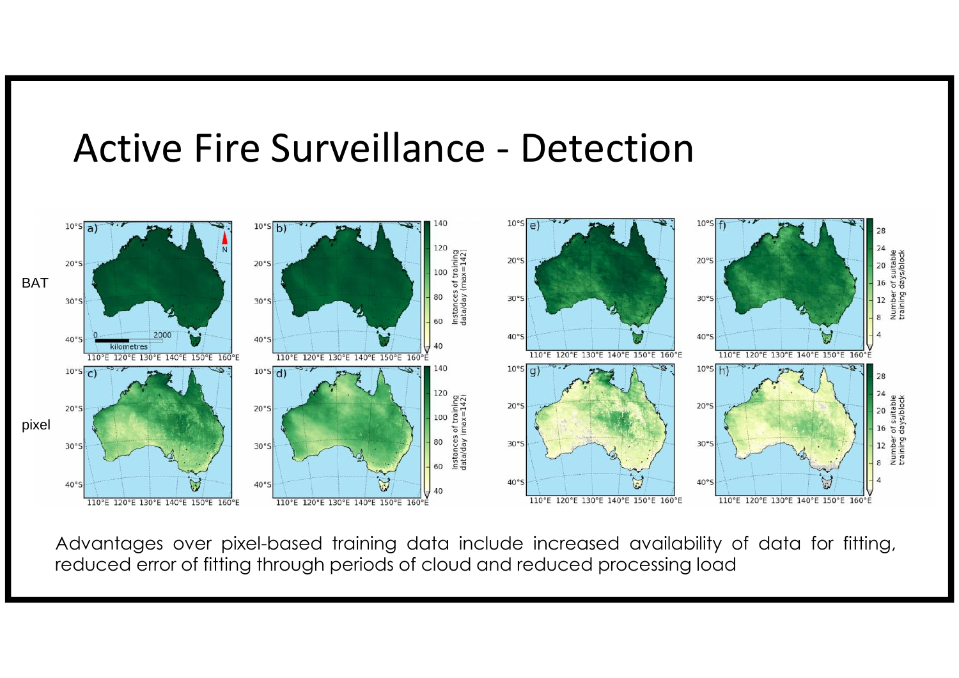#### Active Fire Surveillance - Detection



Advantages over pixel-based training data include increased availability of data for fitting, reduced error of fitting through periods of cloud and reduced processing load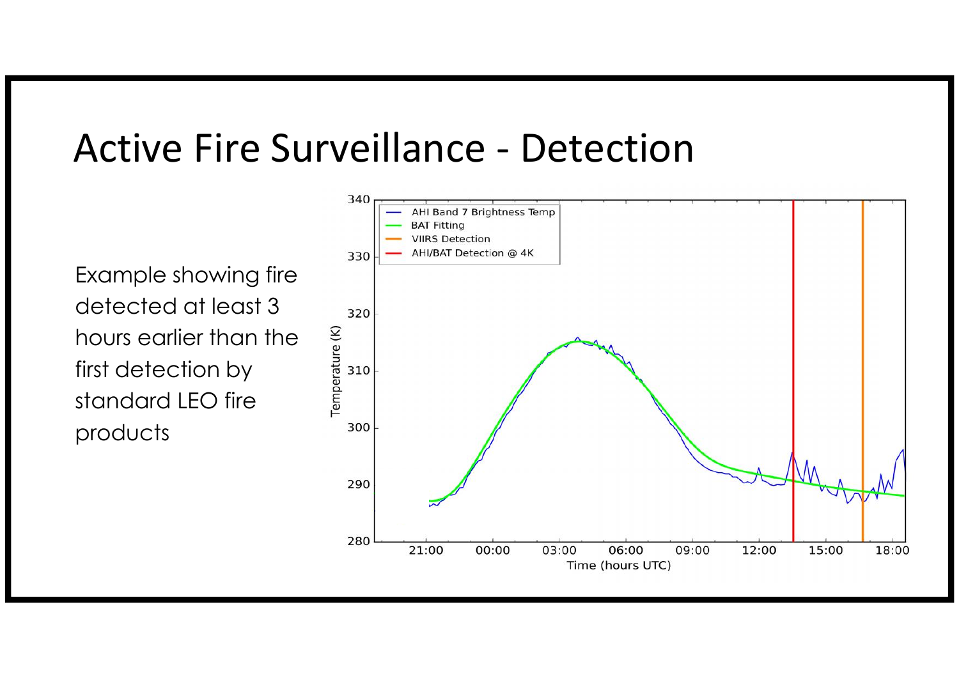#### Active Fire Surveillance - Detection

Example showing fire detected at least  $3 \frac{320}{220}$ hours earlier than the<br>first detection by<br>standard LEO fire first detection by standard LEO fire products

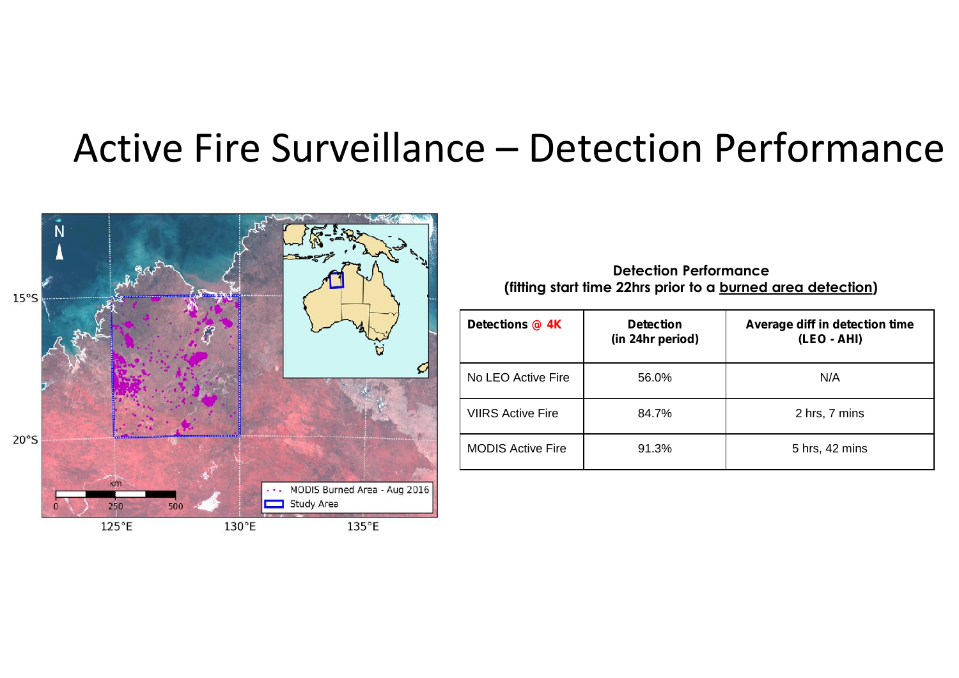### Active Fire Surveillance – Detection Performance



**Detection Performance (fitting start time 22hrs prior to a burned area detection)**

| Detections @ 4K          | <b>Detection</b><br>(in 24hr period) | Average diff in detection time<br>(LEO - AHI) |  |
|--------------------------|--------------------------------------|-----------------------------------------------|--|
| No LEO Active Fire       | 56.0%                                | N/A                                           |  |
| <b>VIIRS Active Fire</b> | 84.7%                                | 2 hrs, 7 mins                                 |  |
| <b>MODIS Active Fire</b> | 91.3%                                | 5 hrs, 42 mins                                |  |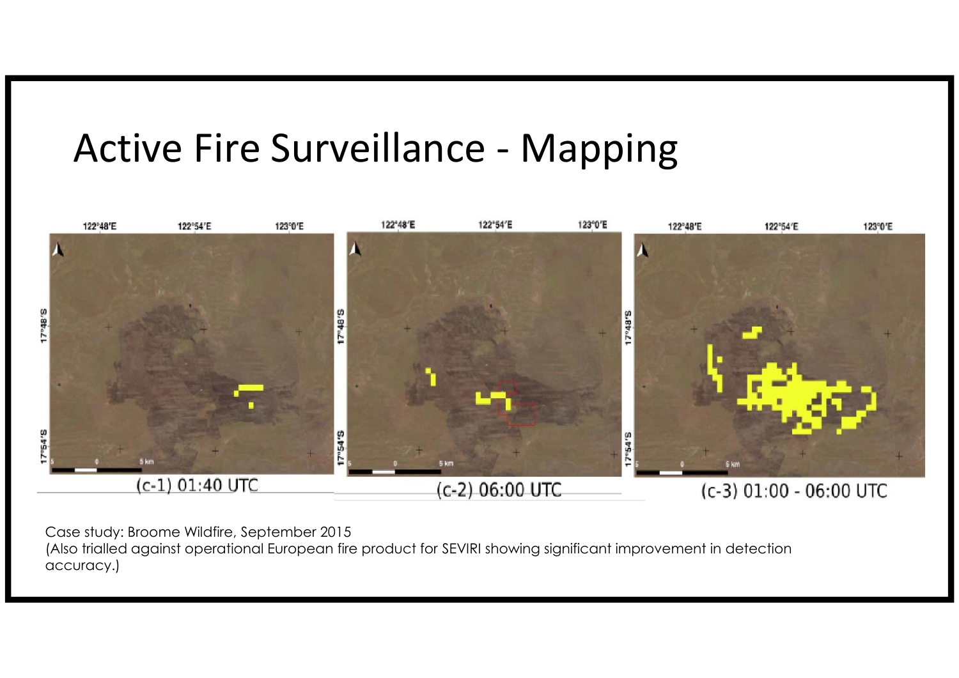## Active Fire Surveillance - Mapping



Case study: Broome Wildfire, September 2015

(Also trialled against operational European fire product for SEVIRI showing significant improvement in detection accuracy.)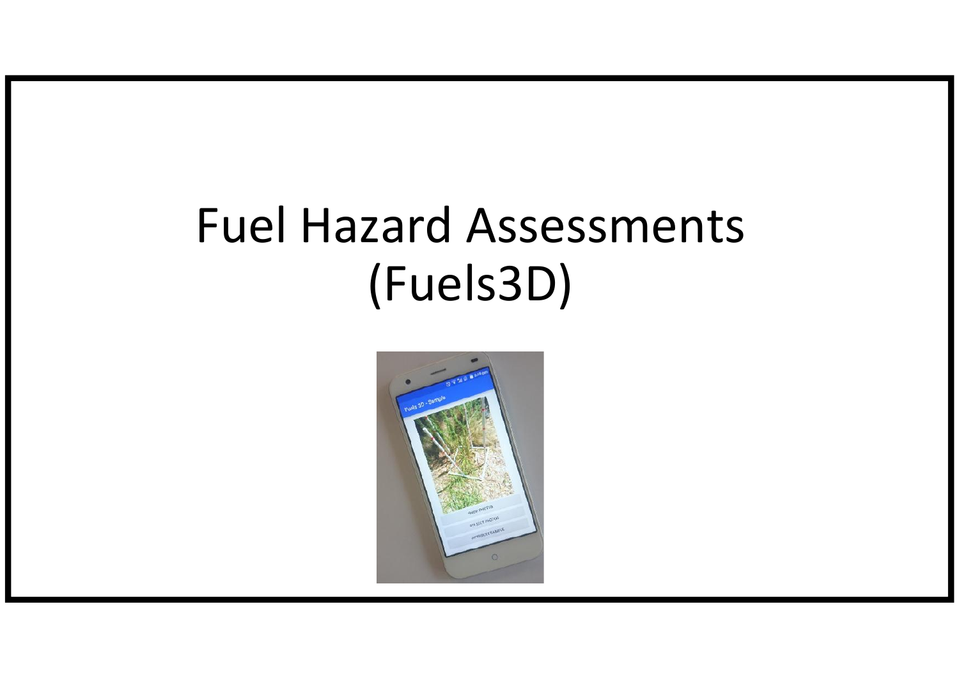# Fuel Hazard Assessments (Fuels3D)

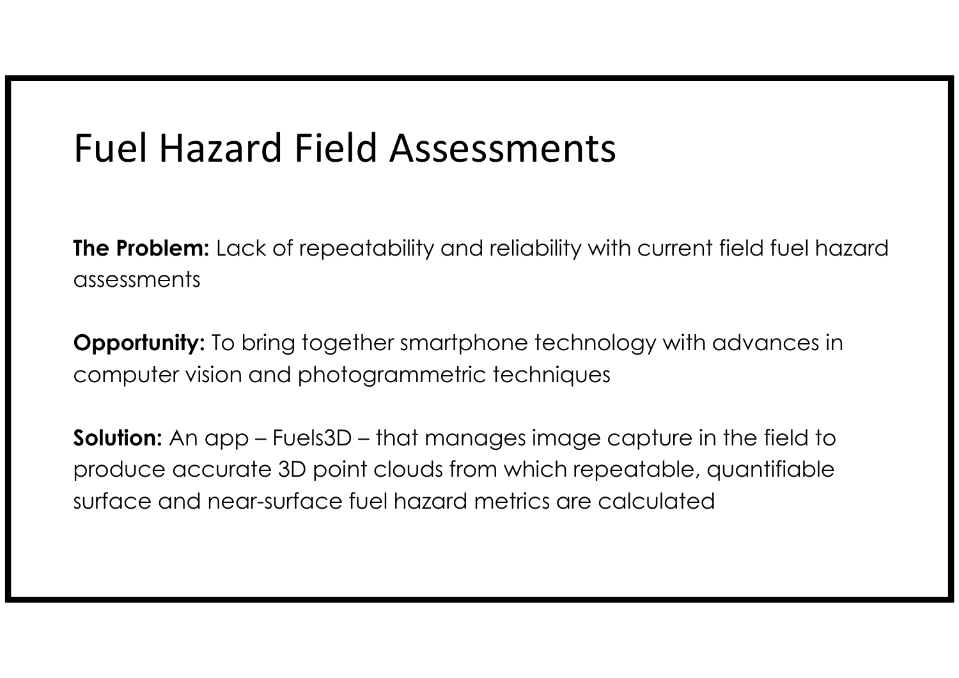## Fuel Hazard Field Assessments

**The Problem:** Lack of repeatability and reliability with current field fuel hazard assessments

**Opportunity:** To bring together smartphone technology with advances in computer vision and photogrammetric techniques

**Solution:** An app – Fuels3D – that manages image capture in the field to produce accurate 3D point clouds from which repeatable, quantifiable surface and near-surface fuel hazard metrics are calculated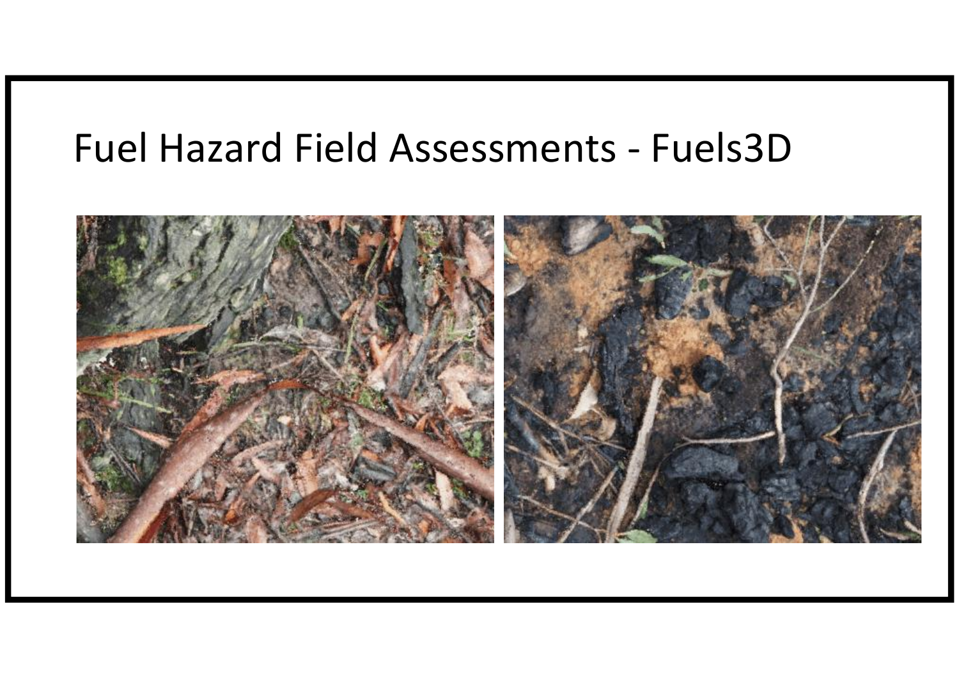## Fuel Hazard Field Assessments - Fuels3D

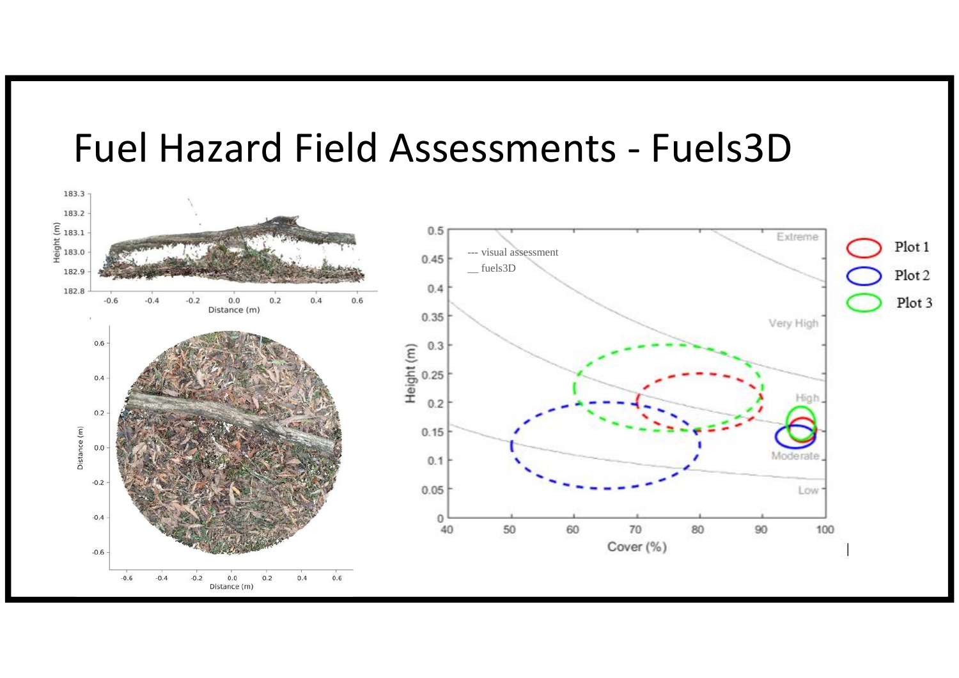#### Fuel Hazard Field Assessments - Fuels3D

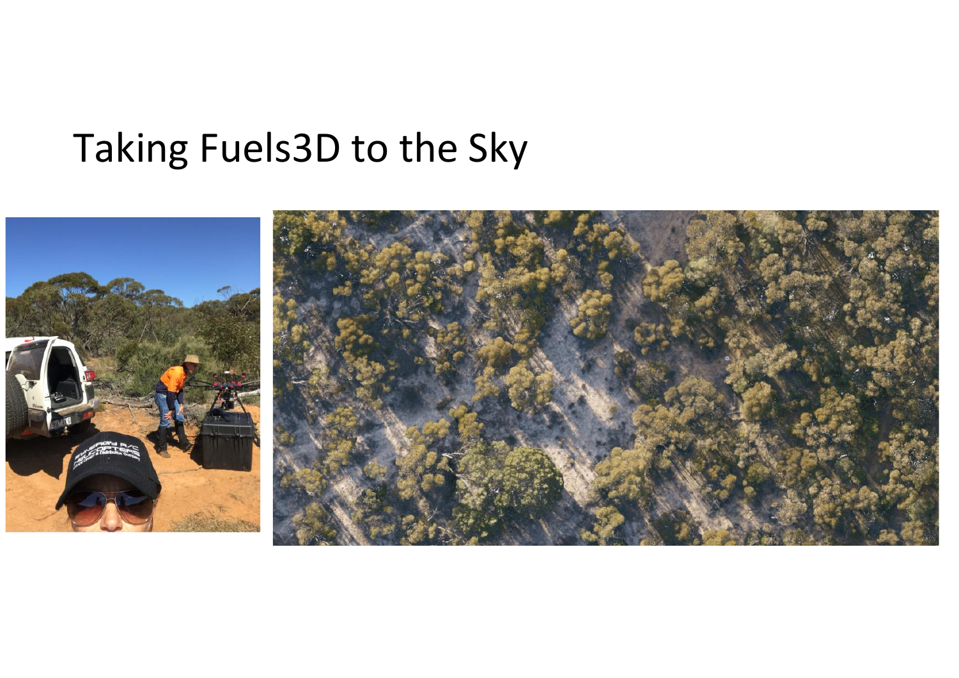## Taking Fuels3D to the Sky